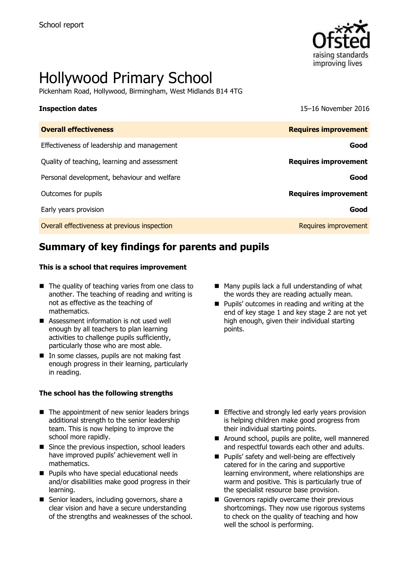

# Hollywood Primary School

Pickenham Road, Hollywood, Birmingham, West Midlands B14 4TG

**Inspection dates** 15–16 November 2016

| <b>Overall effectiveness</b>                 | <b>Requires improvement</b> |
|----------------------------------------------|-----------------------------|
| Effectiveness of leadership and management   | Good                        |
| Quality of teaching, learning and assessment | <b>Requires improvement</b> |
| Personal development, behaviour and welfare  | Good                        |
| Outcomes for pupils                          | <b>Requires improvement</b> |
| Early years provision                        | Good                        |
| Overall effectiveness at previous inspection | Requires improvement        |

## **Summary of key findings for parents and pupils**

### **This is a school that requires improvement**

- $\blacksquare$  The quality of teaching varies from one class to another. The teaching of reading and writing is not as effective as the teaching of mathematics.
- Assessment information is not used well enough by all teachers to plan learning activities to challenge pupils sufficiently, particularly those who are most able.
- $\blacksquare$  In some classes, pupils are not making fast enough progress in their learning, particularly in reading.

### **The school has the following strengths**

- The appointment of new senior leaders brings additional strength to the senior leadership team. This is now helping to improve the school more rapidly.
- Since the previous inspection, school leaders have improved pupils' achievement well in mathematics.
- **Pupils who have special educational needs** and/or disabilities make good progress in their learning.
- Senior leaders, including governors, share a clear vision and have a secure understanding of the strengths and weaknesses of the school.
- $\blacksquare$  Many pupils lack a full understanding of what the words they are reading actually mean.
- **Pupils' outcomes in reading and writing at the** end of key stage 1 and key stage 2 are not yet high enough, given their individual starting points.

- **Effective and strongly led early years provision** is helping children make good progress from their individual starting points.
- Around school, pupils are polite, well mannered and respectful towards each other and adults.
- **Pupils' safety and well-being are effectively** catered for in the caring and supportive learning environment, where relationships are warm and positive. This is particularly true of the specialist resource base provision.
- Governors rapidly overcame their previous shortcomings. They now use rigorous systems to check on the quality of teaching and how well the school is performing.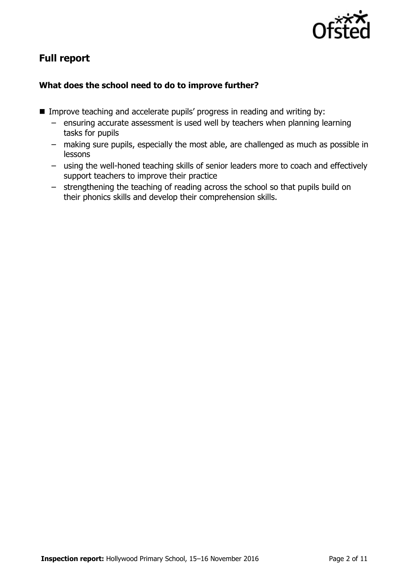

# **Full report**

### **What does the school need to do to improve further?**

- **IMPROVE THE AUTE IMPROVE SEACHTER IN A** Improve teaching and writing by:
	- ensuring accurate assessment is used well by teachers when planning learning tasks for pupils
	- making sure pupils, especially the most able, are challenged as much as possible in lessons
	- using the well-honed teaching skills of senior leaders more to coach and effectively support teachers to improve their practice
	- strengthening the teaching of reading across the school so that pupils build on their phonics skills and develop their comprehension skills.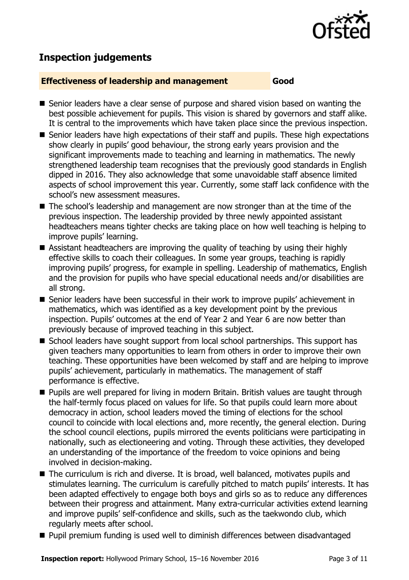

# **Inspection judgements**

### **Effectiveness of leadership and management Good**

- Senior leaders have a clear sense of purpose and shared vision based on wanting the best possible achievement for pupils. This vision is shared by governors and staff alike. It is central to the improvements which have taken place since the previous inspection.
- Senior leaders have high expectations of their staff and pupils. These high expectations show clearly in pupils' good behaviour, the strong early years provision and the significant improvements made to teaching and learning in mathematics. The newly strengthened leadership team recognises that the previously good standards in English dipped in 2016. They also acknowledge that some unavoidable staff absence limited aspects of school improvement this year. Currently, some staff lack confidence with the school's new assessment measures.
- The school's leadership and management are now stronger than at the time of the previous inspection. The leadership provided by three newly appointed assistant headteachers means tighter checks are taking place on how well teaching is helping to improve pupils' learning.
- Assistant headteachers are improving the quality of teaching by using their highly effective skills to coach their colleagues. In some year groups, teaching is rapidly improving pupils' progress, for example in spelling. Leadership of mathematics, English and the provision for pupils who have special educational needs and/or disabilities are all strong.
- Senior leaders have been successful in their work to improve pupils' achievement in mathematics, which was identified as a key development point by the previous inspection. Pupils' outcomes at the end of Year 2 and Year 6 are now better than previously because of improved teaching in this subject.
- School leaders have sought support from local school partnerships. This support has given teachers many opportunities to learn from others in order to improve their own teaching. These opportunities have been welcomed by staff and are helping to improve pupils' achievement, particularly in mathematics. The management of staff performance is effective.
- **Pupils are well prepared for living in modern Britain. British values are taught through** the half-termly focus placed on values for life. So that pupils could learn more about democracy in action, school leaders moved the timing of elections for the school council to coincide with local elections and, more recently, the general election. During the school council elections, pupils mirrored the events politicians were participating in nationally, such as electioneering and voting. Through these activities, they developed an understanding of the importance of the freedom to voice opinions and being involved in decision-making.
- The curriculum is rich and diverse. It is broad, well balanced, motivates pupils and stimulates learning. The curriculum is carefully pitched to match pupils' interests. It has been adapted effectively to engage both boys and girls so as to reduce any differences between their progress and attainment. Many extra-curricular activities extend learning and improve pupils' self-confidence and skills, such as the taekwondo club, which regularly meets after school.
- **Pupil premium funding is used well to diminish differences between disadvantaged**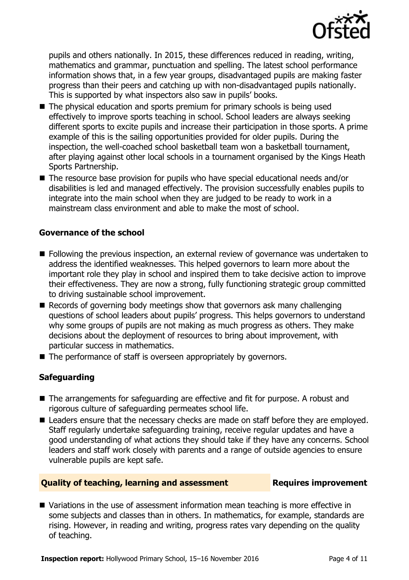

pupils and others nationally. In 2015, these differences reduced in reading, writing, mathematics and grammar, punctuation and spelling. The latest school performance information shows that, in a few year groups, disadvantaged pupils are making faster progress than their peers and catching up with non-disadvantaged pupils nationally. This is supported by what inspectors also saw in pupils' books.

- The physical education and sports premium for primary schools is being used effectively to improve sports teaching in school. School leaders are always seeking different sports to excite pupils and increase their participation in those sports. A prime example of this is the sailing opportunities provided for older pupils. During the inspection, the well-coached school basketball team won a basketball tournament, after playing against other local schools in a tournament organised by the Kings Heath Sports Partnership.
- The resource base provision for pupils who have special educational needs and/or disabilities is led and managed effectively. The provision successfully enables pupils to integrate into the main school when they are judged to be ready to work in a mainstream class environment and able to make the most of school.

### **Governance of the school**

- Following the previous inspection, an external review of governance was undertaken to address the identified weaknesses. This helped governors to learn more about the important role they play in school and inspired them to take decisive action to improve their effectiveness. They are now a strong, fully functioning strategic group committed to driving sustainable school improvement.
- Records of governing body meetings show that governors ask many challenging questions of school leaders about pupils' progress. This helps governors to understand why some groups of pupils are not making as much progress as others. They make decisions about the deployment of resources to bring about improvement, with particular success in mathematics.
- The performance of staff is overseen appropriately by governors.

### **Safeguarding**

- The arrangements for safeguarding are effective and fit for purpose. A robust and rigorous culture of safeguarding permeates school life.
- Leaders ensure that the necessary checks are made on staff before they are employed. Staff regularly undertake safeguarding training, receive regular updates and have a good understanding of what actions they should take if they have any concerns. School leaders and staff work closely with parents and a range of outside agencies to ensure vulnerable pupils are kept safe.

### **Quality of teaching, learning and assessment Requires improvement**

■ Variations in the use of assessment information mean teaching is more effective in some subjects and classes than in others. In mathematics, for example, standards are rising. However, in reading and writing, progress rates vary depending on the quality of teaching.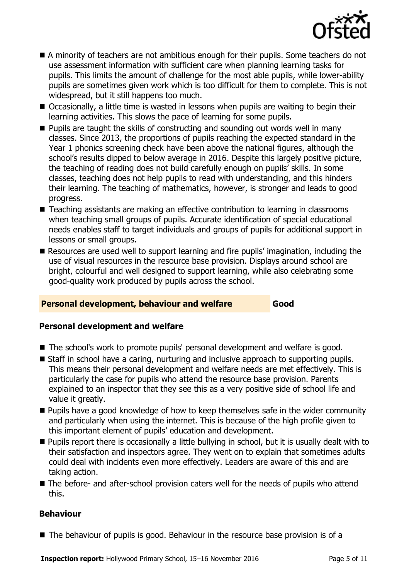

- A minority of teachers are not ambitious enough for their pupils. Some teachers do not use assessment information with sufficient care when planning learning tasks for pupils. This limits the amount of challenge for the most able pupils, while lower-ability pupils are sometimes given work which is too difficult for them to complete. This is not widespread, but it still happens too much.
- Occasionally, a little time is wasted in lessons when pupils are waiting to begin their learning activities. This slows the pace of learning for some pupils.
- $\blacksquare$  Pupils are taught the skills of constructing and sounding out words well in many classes. Since 2013, the proportions of pupils reaching the expected standard in the Year 1 phonics screening check have been above the national figures, although the school's results dipped to below average in 2016. Despite this largely positive picture, the teaching of reading does not build carefully enough on pupils' skills. In some classes, teaching does not help pupils to read with understanding, and this hinders their learning. The teaching of mathematics, however, is stronger and leads to good progress.
- Teaching assistants are making an effective contribution to learning in classrooms when teaching small groups of pupils. Accurate identification of special educational needs enables staff to target individuals and groups of pupils for additional support in lessons or small groups.
- Resources are used well to support learning and fire pupils' imagination, including the use of visual resources in the resource base provision. Displays around school are bright, colourful and well designed to support learning, while also celebrating some good-quality work produced by pupils across the school.

### **Personal development, behaviour and welfare Good**

### **Personal development and welfare**

- The school's work to promote pupils' personal development and welfare is good.
- Staff in school have a caring, nurturing and inclusive approach to supporting pupils. This means their personal development and welfare needs are met effectively. This is particularly the case for pupils who attend the resource base provision. Parents explained to an inspector that they see this as a very positive side of school life and value it greatly.
- **Pupils have a good knowledge of how to keep themselves safe in the wider community** and particularly when using the internet. This is because of the high profile given to this important element of pupils' education and development.
- Pupils report there is occasionally a little bullying in school, but it is usually dealt with to their satisfaction and inspectors agree. They went on to explain that sometimes adults could deal with incidents even more effectively. Leaders are aware of this and are taking action.
- The before- and after-school provision caters well for the needs of pupils who attend this.

### **Behaviour**

■ The behaviour of pupils is good. Behaviour in the resource base provision is of a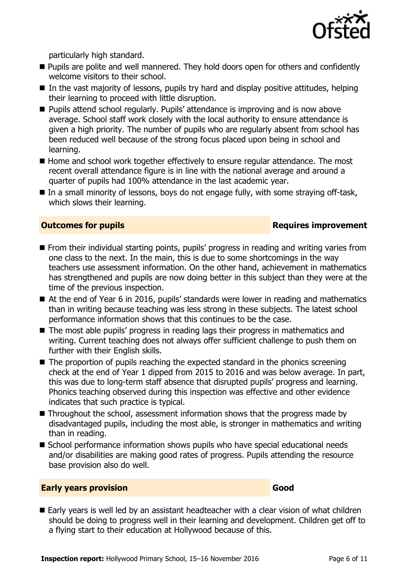

particularly high standard.

- **Pupils are polite and well mannered. They hold doors open for others and confidently** welcome visitors to their school.
- In the vast majority of lessons, pupils try hard and display positive attitudes, helping their learning to proceed with little disruption.
- **Pupils attend school regularly. Pupils' attendance is improving and is now above** average. School staff work closely with the local authority to ensure attendance is given a high priority. The number of pupils who are regularly absent from school has been reduced well because of the strong focus placed upon being in school and learning.
- $\blacksquare$  Home and school work together effectively to ensure regular attendance. The most recent overall attendance figure is in line with the national average and around a quarter of pupils had 100% attendance in the last academic year.
- In a small minority of lessons, boys do not engage fully, with some straying off-task, which slows their learning.

### **Outcomes for pupils Requires improvement**

- **From their individual starting points, pupils' progress in reading and writing varies from** one class to the next. In the main, this is due to some shortcomings in the way teachers use assessment information. On the other hand, achievement in mathematics has strengthened and pupils are now doing better in this subject than they were at the time of the previous inspection.
- At the end of Year 6 in 2016, pupils' standards were lower in reading and mathematics than in writing because teaching was less strong in these subjects. The latest school performance information shows that this continues to be the case.
- The most able pupils' progress in reading lags their progress in mathematics and writing. Current teaching does not always offer sufficient challenge to push them on further with their English skills.
- $\blacksquare$  The proportion of pupils reaching the expected standard in the phonics screening check at the end of Year 1 dipped from 2015 to 2016 and was below average. In part, this was due to long-term staff absence that disrupted pupils' progress and learning. Phonics teaching observed during this inspection was effective and other evidence indicates that such practice is typical.
- Throughout the school, assessment information shows that the progress made by disadvantaged pupils, including the most able, is stronger in mathematics and writing than in reading.
- School performance information shows pupils who have special educational needs and/or disabilities are making good rates of progress. Pupils attending the resource base provision also do well.

### **Early years provision Good Good**

Early years is well led by an assistant headteacher with a clear vision of what children should be doing to progress well in their learning and development. Children get off to a flying start to their education at Hollywood because of this.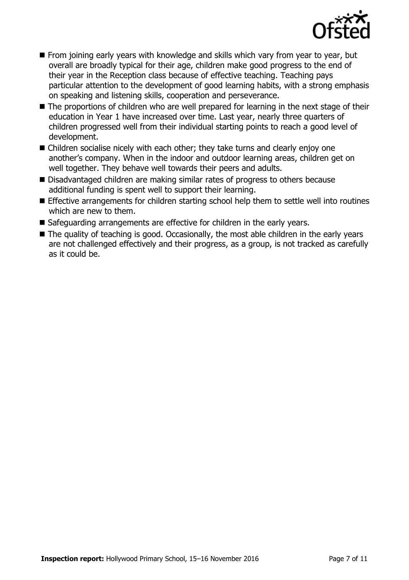

- $\blacksquare$  From joining early vears with knowledge and skills which vary from year to year, but overall are broadly typical for their age, children make good progress to the end of their year in the Reception class because of effective teaching. Teaching pays particular attention to the development of good learning habits, with a strong emphasis on speaking and listening skills, cooperation and perseverance.
- The proportions of children who are well prepared for learning in the next stage of their education in Year 1 have increased over time. Last year, nearly three quarters of children progressed well from their individual starting points to reach a good level of development.
- Children socialise nicely with each other; they take turns and clearly enjoy one another's company. When in the indoor and outdoor learning areas, children get on well together. They behave well towards their peers and adults.
- Disadvantaged children are making similar rates of progress to others because additional funding is spent well to support their learning.
- Effective arrangements for children starting school help them to settle well into routines which are new to them.
- Safeguarding arrangements are effective for children in the early years.
- The quality of teaching is good. Occasionally, the most able children in the early years are not challenged effectively and their progress, as a group, is not tracked as carefully as it could be.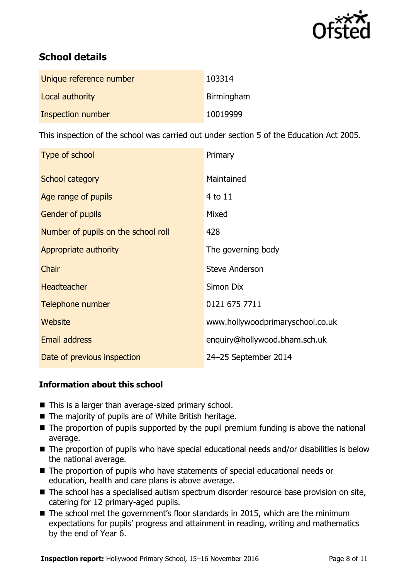

# **School details**

| Unique reference number | 103314     |
|-------------------------|------------|
| Local authority         | Birmingham |
| Inspection number       | 10019999   |

This inspection of the school was carried out under section 5 of the Education Act 2005.

| Type of school                      | Primary                          |
|-------------------------------------|----------------------------------|
| School category                     | Maintained                       |
| Age range of pupils                 | 4 to 11                          |
| <b>Gender of pupils</b>             | Mixed                            |
| Number of pupils on the school roll | 428                              |
| Appropriate authority               | The governing body               |
| Chair                               | <b>Steve Anderson</b>            |
| <b>Headteacher</b>                  | Simon Dix                        |
| Telephone number                    | 0121 675 7711                    |
| Website                             | www.hollywoodprimaryschool.co.uk |
| <b>Email address</b>                | enquiry@hollywood.bham.sch.uk    |
| Date of previous inspection         | 24-25 September 2014             |

### **Information about this school**

- This is a larger than average-sized primary school.
- $\blacksquare$  The majority of pupils are of White British heritage.
- $\blacksquare$  The proportion of pupils supported by the pupil premium funding is above the national average.
- The proportion of pupils who have special educational needs and/or disabilities is below the national average.
- The proportion of pupils who have statements of special educational needs or education, health and care plans is above average.
- The school has a specialised autism spectrum disorder resource base provision on site, catering for 12 primary-aged pupils.
- The school met the government's floor standards in 2015, which are the minimum expectations for pupils' progress and attainment in reading, writing and mathematics by the end of Year 6.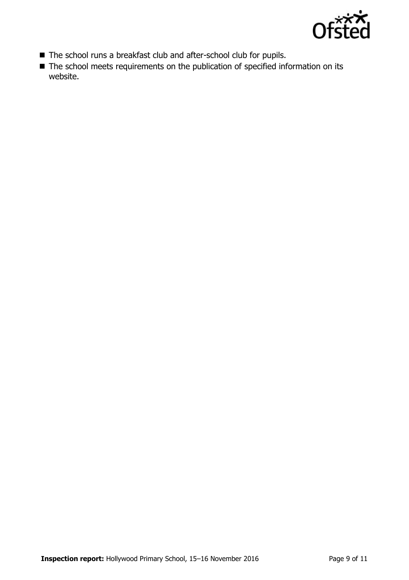

- The school runs a breakfast club and after-school club for pupils.
- The school meets requirements on the publication of specified information on its website.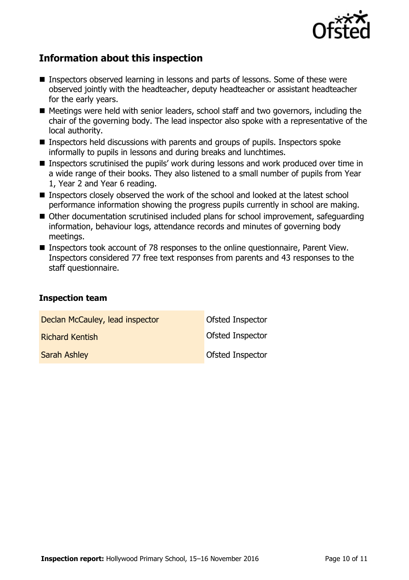

# **Information about this inspection**

- Inspectors observed learning in lessons and parts of lessons. Some of these were observed jointly with the headteacher, deputy headteacher or assistant headteacher for the early years.
- Meetings were held with senior leaders, school staff and two governors, including the chair of the governing body. The lead inspector also spoke with a representative of the local authority.
- Inspectors held discussions with parents and groups of pupils. Inspectors spoke informally to pupils in lessons and during breaks and lunchtimes.
- Inspectors scrutinised the pupils' work during lessons and work produced over time in a wide range of their books. They also listened to a small number of pupils from Year 1, Year 2 and Year 6 reading.
- Inspectors closely observed the work of the school and looked at the latest school performance information showing the progress pupils currently in school are making.
- Other documentation scrutinised included plans for school improvement, safeguarding information, behaviour logs, attendance records and minutes of governing body meetings.
- Inspectors took account of 78 responses to the online questionnaire, Parent View. Inspectors considered 77 free text responses from parents and 43 responses to the staff questionnaire.

### **Inspection team**

| Declan McCauley, lead inspector | Ofsted Inspector        |
|---------------------------------|-------------------------|
| <b>Richard Kentish</b>          | Ofsted Inspector        |
| <b>Sarah Ashley</b>             | <b>Ofsted Inspector</b> |